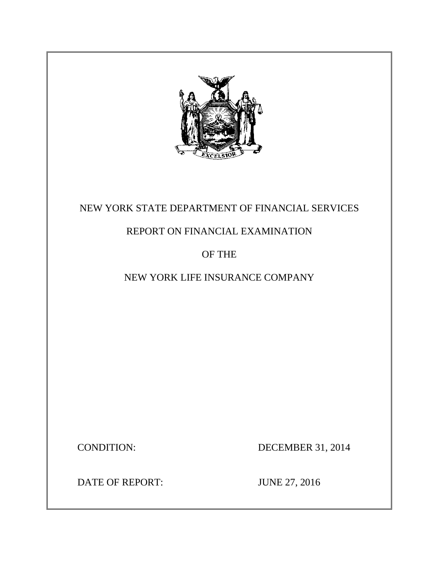

# NEW YORK STATE DEPARTMENT OF FINANCIAL SERVICES

# REPORT ON FINANCIAL EXAMINATION

# OF THE

# NEW YORK LIFE INSURANCE COMPANY

**CONDITION:** 

DECEMBER 31, 2014

DATE OF REPORT: JUNE 27, 2016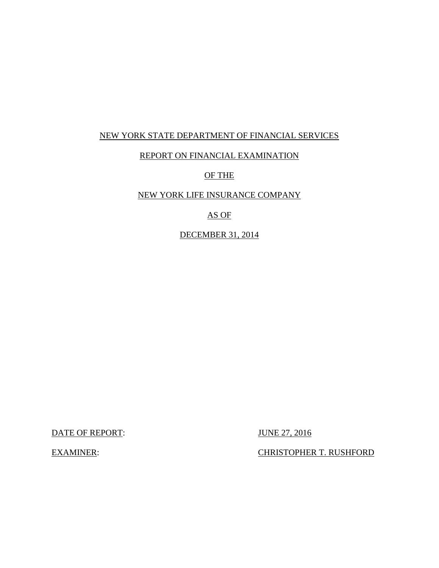## NEW YORK STATE DEPARTMENT OF FINANCIAL SERVICES

## REPORT ON FINANCIAL EXAMINATION

## OF THE

## NEW YORK LIFE INSURANCE COMPANY

## AS OF

## DECEMBER 31, 2014

DATE OF REPORT: JUNE 27, 2016

**EXAMINER:** 

CHRISTOPHER T. RUSHFORD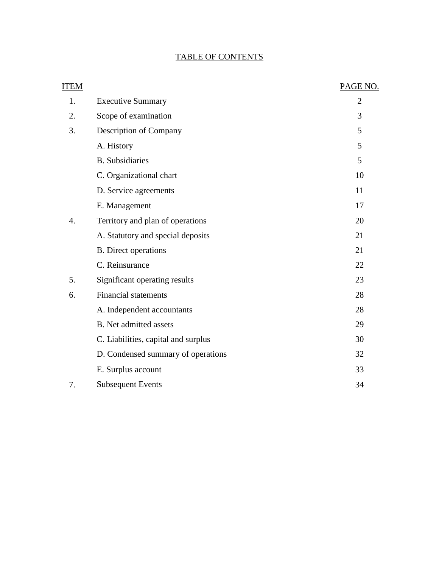## TABLE OF CONTENTS

| <b>ITEM</b> |                                     | PAGE NO.       |
|-------------|-------------------------------------|----------------|
| 1.          | <b>Executive Summary</b>            | $\overline{2}$ |
| 2.          | Scope of examination                | 3              |
| 3.          | Description of Company              | 5              |
|             | A. History                          | 5              |
|             | <b>B.</b> Subsidiaries              | 5              |
|             | C. Organizational chart             | 10             |
|             | D. Service agreements               | 11             |
|             | E. Management                       | 17             |
| 4.          | Territory and plan of operations    | 20             |
|             | A. Statutory and special deposits   | 21             |
|             | <b>B.</b> Direct operations         | 21             |
|             | C. Reinsurance                      | 22             |
| 5.          | Significant operating results       | 23             |
| 6.          | <b>Financial statements</b>         | 28             |
|             | A. Independent accountants          | 28             |
|             | <b>B.</b> Net admitted assets       | 29             |
|             | C. Liabilities, capital and surplus | 30             |
|             | D. Condensed summary of operations  | 32             |
|             | E. Surplus account                  | 33             |
| 7.          | <b>Subsequent Events</b>            | 34             |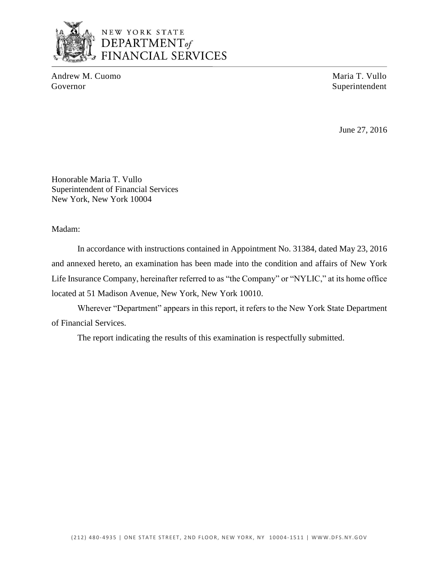

## NEW YORK STATE DEPARTMENT<sub>of</sub> **FINANCIAL SERVICES**

Andrew M. Cuomo **Maria T. Vullo** Maria T. Vullo Governor Superintendent

June 27, 2016

 Honorable Maria T. Vullo Superintendent of Financial Services New York, New York 10004

Madam:

 and annexed hereto, an examination has been made into the condition and affairs of New York Life Insurance Company, hereinafter referred to as "the Company" or "NYLIC," at its home office In accordance with instructions contained in Appointment No. 31384, dated May 23, 2016 located at 51 Madison Avenue, New York, New York 10010.

 Wherever "Department" appears in this report, it refers to the New York State Department of Financial Services.

The report indicating the results of this examination is respectfully submitted.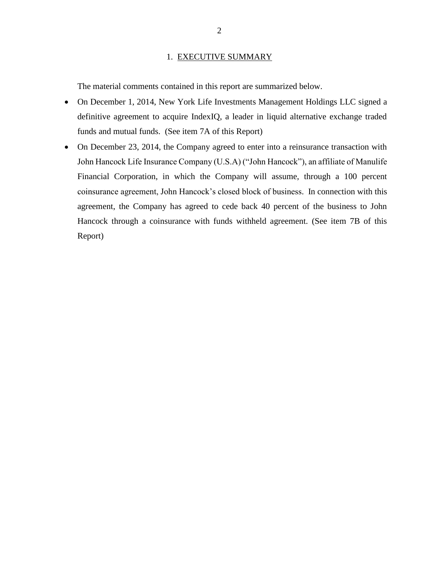#### 1. EXECUTIVE SUMMARY

The material comments contained in this report are summarized below.

- On December 1, 2014, New York Life Investments Management Holdings LLC signed a definitive agreement to acquire IndexIQ, a leader in liquid alternative exchange traded funds and mutual funds. (See item 7A of this Report)
- On December 23, 2014, the Company agreed to enter into a reinsurance transaction with John Hancock Life Insurance Company (U.S.A) ("John Hancock"), an affiliate of Manulife Financial Corporation, in which the Company will assume, through a 100 percent agreement, the Company has agreed to cede back 40 percent of the business to John Hancock through a coinsurance with funds withheld agreement. (See item 7B of this coinsurance agreement, John Hancock's closed block of business. In connection with this Report)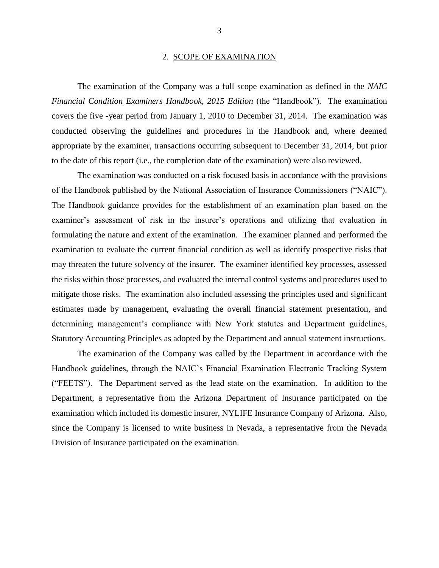#### 2. SCOPE OF EXAMINATION

*Financial Condition Examiners Handbook, 2015 Edition* (the "Handbook"). The examination covers the five -year period from January 1, 2010 to December 31, 2014. The examination was conducted observing the guidelines and procedures in the Handbook and, where deemed appropriate by the examiner, transactions occurring subsequent to December 31, 2014, but prior The examination of the Company was a full scope examination as defined in the *NAIC*  to the date of this report (i.e., the completion date of the examination) were also reviewed.

 examiner's assessment of risk in the insurer's operations and utilizing that evaluation in formulating the nature and extent of the examination. The examiner planned and performed the examination to evaluate the current financial condition as well as identify prospective risks that may threaten the future solvency of the insurer. The examiner identified key processes, assessed the risks within those processes, and evaluated the internal control systems and procedures used to mitigate those risks. The examination also included assessing the principles used and significant estimates made by management, evaluating the overall financial statement presentation, and Statutory Accounting Principles as adopted by the Department and annual statement instructions. The examination was conducted on a risk focused basis in accordance with the provisions of the Handbook published by the National Association of Insurance Commissioners ("NAIC"). The Handbook guidance provides for the establishment of an examination plan based on the determining management's compliance with New York statutes and Department guidelines,

 Handbook guidelines, through the NAIC's Financial Examination Electronic Tracking System ("FEETS"). The Department served as the lead state on the examination. In addition to the Department, a representative from the Arizona Department of Insurance participated on the examination which included its domestic insurer, NYLIFE Insurance Company of Arizona. Also, since the Company is licensed to write business in Nevada, a representative from the Nevada The examination of the Company was called by the Department in accordance with the Division of Insurance participated on the examination.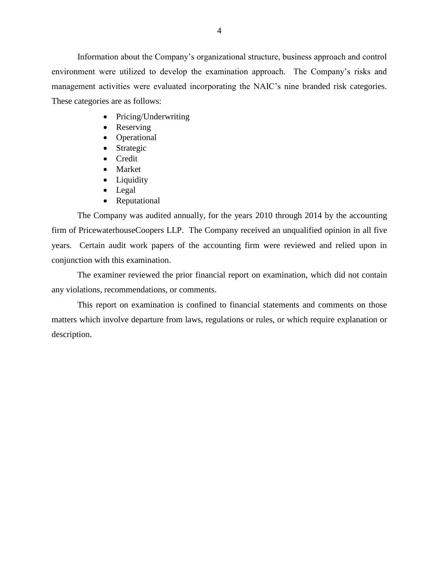environment were utilized to develop the examination approach. The Company's risks and management activities were evaluated incorporating the NAIC's nine branded risk categories. These categories are as follows: These categories are as follows: Information about the Company's organizational structure, business approach and control

- Pricing/Underwriting
- Reserving
- Operational
- Strategic
- Credit
- Market
- Liquidity
- Legal
- Reputational

 The Company was audited annually, for the years 2010 through 2014 by the accounting firm of PricewaterhouseCoopers LLP. The Company received an unqualified opinion in all five years. Certain audit work papers of the accounting firm were reviewed and relied upon in conjunction with this examination.

The examiner reviewed the prior financial report on examination, which did not contain any violations, recommendations, or comments.

 matters which involve departure from laws, regulations or rules, or which require explanation or This report on examination is confined to financial statements and comments on those description.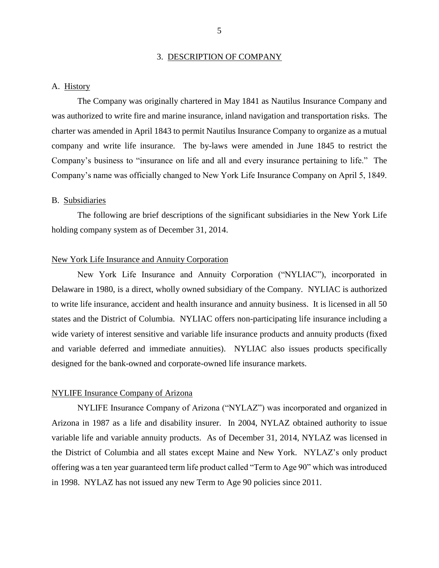#### 3. DESCRIPTION OF COMPANY

#### <span id="page-7-0"></span>A. History

 was authorized to write fire and marine insurance, inland navigation and transportation risks. The charter was amended in April 1843 to permit Nautilus Insurance Company to organize as a mutual company and write life insurance. The by-laws were amended in June 1845 to restrict the Company's business to "insurance on life and all and every insurance pertaining to life." The Company's name was officially changed to New York Life Insurance Company on April 5, 1849. The Company was originally chartered in May 1841 as Nautilus Insurance Company and

#### B. Subsidiaries

The following are brief descriptions of the significant subsidiaries in the New York Life holding company system as of December 31, 2014.

#### New York Life Insurance and Annuity Corporation

 New York Life Insurance and Annuity Corporation ("NYLIAC"), incorporated in Delaware in 1980, is a direct, wholly owned subsidiary of the Company. NYLIAC is authorized states and the District of Columbia. NYLIAC offers non-participating life insurance including a wide variety of interest sensitive and variable life insurance products and annuity products (fixed and variable deferred and immediate annuities). NYLIAC also issues products specifically to write life insurance, accident and health insurance and annuity business. It is licensed in all 50 designed for the bank-owned and corporate-owned life insurance markets.

#### NYLIFE Insurance Company of Arizona

 NYLIFE Insurance Company of Arizona ("NYLAZ") was incorporated and organized in Arizona in 1987 as a life and disability insurer. In 2004, NYLAZ obtained authority to issue variable life and variable annuity products. As of December 31, 2014, NYLAZ was licensed in the District of Columbia and all states except Maine and New York. NYLAZ's only product offering was a ten year guaranteed term life product called "Term to Age 90" which was introduced in 1998. NYLAZ has not issued any new Term to Age 90 policies since 2011.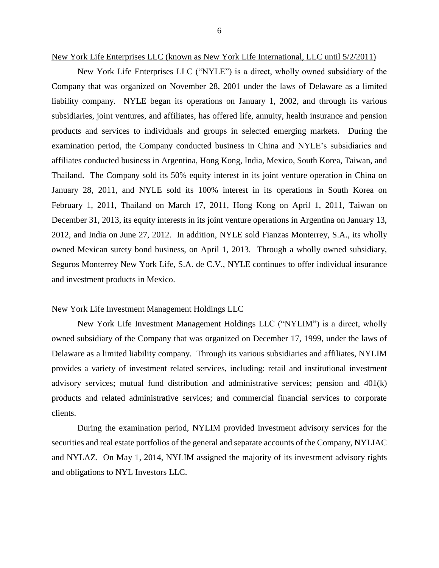#### New York Life Enterprises LLC (known as New York Life International, LLC until 5/2/2011)

 New York Life Enterprises LLC ("NYLE") is a direct, wholly owned subsidiary of the Company that was organized on November 28, 2001 under the laws of Delaware as a limited liability company. NYLE began its operations on January 1, 2002, and through its various subsidiaries, joint ventures, and affiliates, has offered life, annuity, health insurance and pension products and services to individuals and groups in selected emerging markets. During the examination period, the Company conducted business in China and NYLE's subsidiaries and Thailand. The Company sold its 50% equity interest in its joint venture operation in China on January 28, 2011, and NYLE sold its 100% interest in its operations in South Korea on February 1, 2011, Thailand on March 17, 2011, Hong Kong on April 1, 2011, Taiwan on 2012, and India on June 27, 2012. In addition, NYLE sold Fianzas Monterrey, S.A., its wholly owned Mexican surety bond business, on April 1, 2013. Through a wholly owned subsidiary, affiliates conducted business in Argentina, Hong Kong, India, Mexico, South Korea, Taiwan, and December 31, 2013, its equity interests in its joint venture operations in Argentina on January 13, Seguros Monterrey New York Life, S.A. de C.V., NYLE continues to offer individual insurance and investment products in Mexico.

#### New York Life Investment Management Holdings LLC

 Delaware as a limited liability company. Through its various subsidiaries and affiliates, NYLIM provides a variety of investment related services, including: retail and institutional investment advisory services; mutual fund distribution and administrative services; pension and 401(k) products and related administrative services; and commercial financial services to corporate New York Life Investment Management Holdings LLC ("NYLIM") is a direct, wholly owned subsidiary of the Company that was organized on December 17, 1999, under the laws of clients.

 During the examination period, NYLIM provided investment advisory services for the securities and real estate portfolios of the general and separate accounts of the Company, NYLIAC and NYLAZ. On May 1, 2014, NYLIM assigned the majority of its investment advisory rights and obligations to NYL Investors LLC.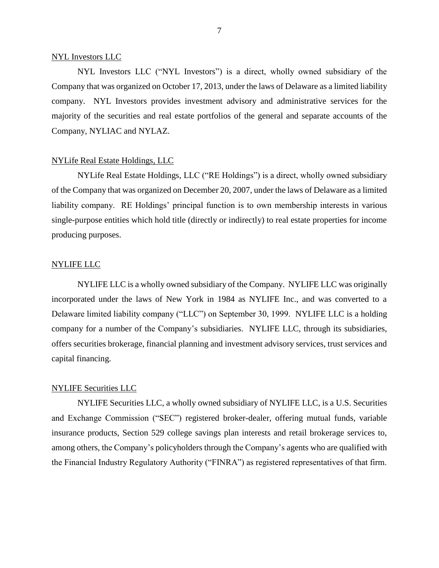#### NYL Investors LLC

 Company that was organized on October 17, 2013, under the laws of Delaware as a limited liability company. NYL Investors provides investment advisory and administrative services for the NYL Investors LLC ("NYL Investors") is a direct, wholly owned subsidiary of the majority of the securities and real estate portfolios of the general and separate accounts of the Company, NYLIAC and NYLAZ.

#### NYLife Real Estate Holdings, LLC

 NYLife Real Estate Holdings, LLC ("RE Holdings") is a direct, wholly owned subsidiary of the Company that was organized on December 20, 2007, under the laws of Delaware as a limited liability company. RE Holdings' principal function is to own membership interests in various single-purpose entities which hold title (directly or indirectly) to real estate properties for income producing purposes.

#### NYLIFE LLC

 NYLIFE LLC is a wholly owned subsidiary of the Company. NYLIFE LLC was originally Delaware limited liability company ("LLC") on September 30, 1999. NYLIFE LLC is a holding company for a number of the Company's subsidiaries. NYLIFE LLC, through its subsidiaries, offers securities brokerage, financial planning and investment advisory services, trust services and incorporated under the laws of New York in 1984 as NYLIFE Inc., and was converted to a capital financing.

#### NYLIFE Securities LLC

 NYLIFE Securities LLC, a wholly owned subsidiary of NYLIFE LLC, is a U.S. Securities and Exchange Commission ("SEC") registered broker-dealer, offering mutual funds, variable insurance products, Section 529 college savings plan interests and retail brokerage services to, among others, the Company's policyholders through the Company's agents who are qualified with the Financial Industry Regulatory Authority ("FINRA") as registered representatives of that firm.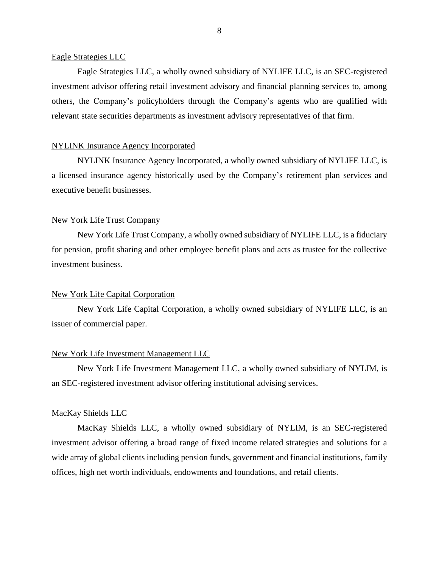#### Eagle Strategies LLC

 Eagle Strategies LLC, a wholly owned subsidiary of NYLIFE LLC, is an SEC-registered investment advisor offering retail investment advisory and financial planning services to, among others, the Company's policyholders through the Company's agents who are qualified with relevant state securities departments as investment advisory representatives of that firm.

#### NYLINK Insurance Agency Incorporated

 NYLINK Insurance Agency Incorporated, a wholly owned subsidiary of NYLIFE LLC, is a licensed insurance agency historically used by the Company's retirement plan services and executive benefit businesses.

#### New York Life Trust Company

 New York Life Trust Company, a wholly owned subsidiary of NYLIFE LLC, is a fiduciary for pension, profit sharing and other employee benefit plans and acts as trustee for the collective investment business.

## New York Life Capital Corporation

 New York Life Capital Corporation, a wholly owned subsidiary of NYLIFE LLC, is an issuer of commercial paper.

#### New York Life Investment Management LLC

 New York Life Investment Management LLC, a wholly owned subsidiary of NYLIM, is an SEC-registered investment advisor offering institutional advising services.

#### MacKay Shields LLC

 MacKay Shields LLC, a wholly owned subsidiary of NYLIM, is an SEC-registered investment advisor offering a broad range of fixed income related strategies and solutions for a wide array of global clients including pension funds, government and financial institutions, family offices, high net worth individuals, endowments and foundations, and retail clients.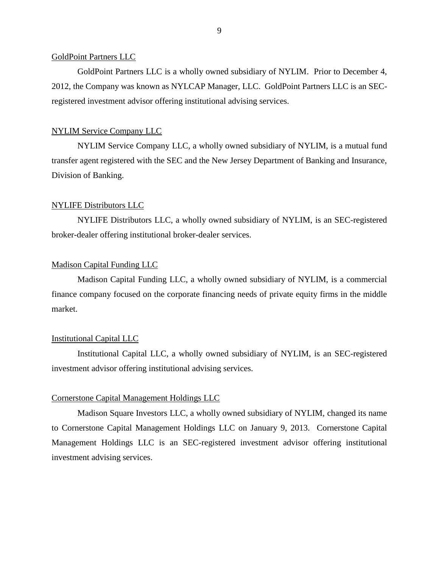#### GoldPoint Partners LLC

 GoldPoint Partners LLC is a wholly owned subsidiary of NYLIM. Prior to December 4, 2012, the Company was known as NYLCAP Manager, LLC. GoldPoint Partners LLC is an SECregistered investment advisor offering institutional advising services.

#### NYLIM Service Company LLC

 NYLIM Service Company LLC, a wholly owned subsidiary of NYLIM, is a mutual fund transfer agent registered with the SEC and the New Jersey Department of Banking and Insurance, Division of Banking.

#### NYLIFE Distributors LLC

 NYLIFE Distributors LLC, a wholly owned subsidiary of NYLIM, is an SEC-registered broker-dealer offering institutional broker-dealer services.

#### Madison Capital Funding LLC

 Madison Capital Funding LLC, a wholly owned subsidiary of NYLIM, is a commercial finance company focused on the corporate financing needs of private equity firms in the middle market.

#### Institutional Capital LLC

 Institutional Capital LLC, a wholly owned subsidiary of NYLIM, is an SEC-registered investment advisor offering institutional advising services.

#### Cornerstone Capital Management Holdings LLC

 Madison Square Investors LLC, a wholly owned subsidiary of NYLIM, changed its name to Cornerstone Capital Management Holdings LLC on January 9, 2013. Cornerstone Capital Management Holdings LLC is an SEC-registered investment advisor offering institutional investment advising services.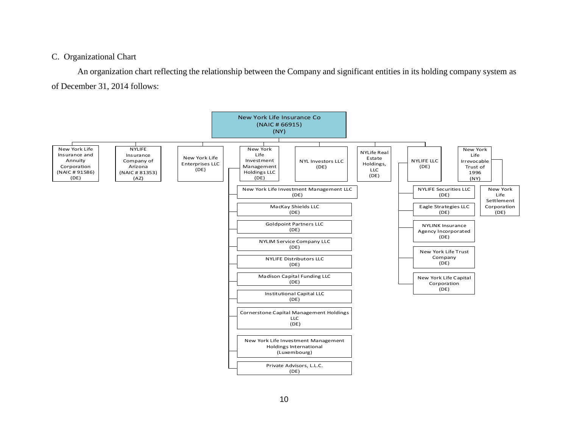## <span id="page-12-0"></span>C. Organizational Chart

 An organization chart reflecting the relationship between the Company and significant entities in its holding company system as of December 31, 2014 follows:

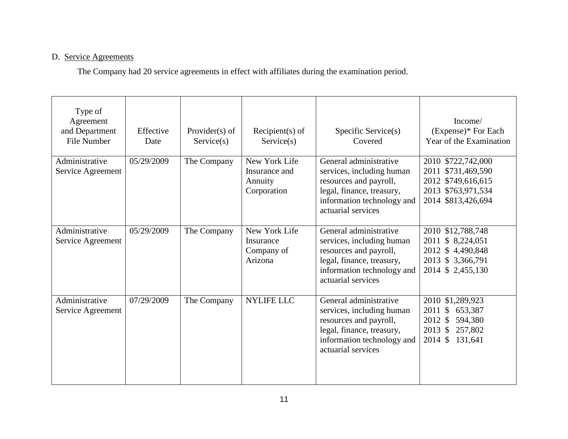# D. Service Agreements

The Company had 20 service agreements in effect with affiliates during the examination period.

| Type of<br>Agreement<br>and Department<br>File Number | Effective<br>Date | Provider $(s)$ of<br>Service(s) | Recipient(s) of<br>Service(s)                            | Specific Service(s)<br>Covered                                                                                                                                 | Income/<br>(Expense)* For Each<br>Year of the Examination                                                  |
|-------------------------------------------------------|-------------------|---------------------------------|----------------------------------------------------------|----------------------------------------------------------------------------------------------------------------------------------------------------------------|------------------------------------------------------------------------------------------------------------|
| Administrative<br>Service Agreement                   | 05/29/2009        | The Company                     | New York Life<br>Insurance and<br>Annuity<br>Corporation | General administrative<br>services, including human<br>resources and payroll,<br>legal, finance, treasury,<br>information technology and<br>actuarial services | 2010 \$722,742,000<br>2011 \$731,469,590<br>2012 \$749,616,615<br>2013 \$763,971,534<br>2014 \$813,426,694 |
| Administrative<br>Service Agreement                   | 05/29/2009        | The Company                     | New York Life<br>Insurance<br>Company of<br>Arizona      | General administrative<br>services, including human<br>resources and payroll,<br>legal, finance, treasury,<br>information technology and<br>actuarial services | 2010 \$12,788,748<br>2011 \$ 8,224,051<br>2012 \$4,490,848<br>2013 \$ 3,366,791<br>2014 \$ 2,455,130       |
| Administrative<br>Service Agreement                   | 07/29/2009        | The Company                     | NYLIFE LLC                                               | General administrative<br>services, including human<br>resources and payroll,<br>legal, finance, treasury,<br>information technology and<br>actuarial services | 2010 \$1,289,923<br>2011 \$ 653,387<br>2012 \$<br>594,380<br>2013 \$<br>257,802<br>2014S<br>131,641        |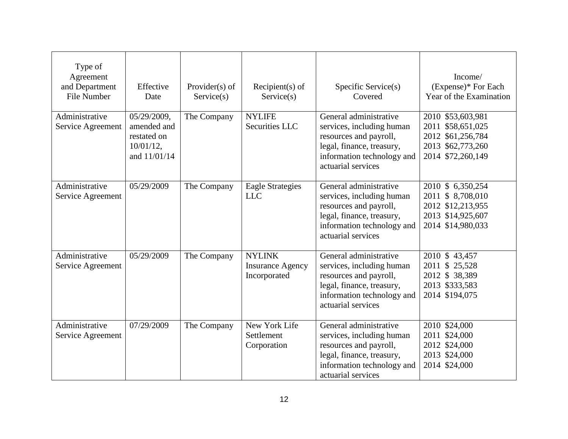| Type of            |              |                   |                         |                                                     |                                        |
|--------------------|--------------|-------------------|-------------------------|-----------------------------------------------------|----------------------------------------|
| Agreement          |              |                   |                         |                                                     | Income/                                |
| and Department     | Effective    | Provider $(s)$ of | Recipient $(s)$ of      | Specific Service(s)                                 | (Expense)* For Each                    |
| <b>File Number</b> | Date         | Service(s)        | Service(s)              | Covered                                             | Year of the Examination                |
| Administrative     | 05/29/2009,  | The Company       | <b>NYLIFE</b>           | General administrative                              | 2010 \$53,603,981                      |
| Service Agreement  | amended and  |                   | Securities LLC          | services, including human                           | 2011 \$58,651,025                      |
|                    | restated on  |                   |                         | resources and payroll,                              | 2012 \$61,256,784                      |
|                    | $10/01/12$ , |                   |                         | legal, finance, treasury,                           | 2013 \$62,773,260                      |
|                    | and 11/01/14 |                   |                         | information technology and                          | 2014 \$72,260,149                      |
|                    |              |                   |                         | actuarial services                                  |                                        |
|                    |              |                   |                         |                                                     |                                        |
| Administrative     | 05/29/2009   | The Company       | <b>Eagle Strategies</b> | General administrative                              | 2010 \$ 6,350,254                      |
| Service Agreement  |              |                   | <b>LLC</b>              | services, including human                           | 2011 \$8,708,010                       |
|                    |              |                   |                         | resources and payroll,<br>legal, finance, treasury, | 2012 \$12,213,955<br>2013 \$14,925,607 |
|                    |              |                   |                         | information technology and                          | 2014 \$14,980,033                      |
|                    |              |                   |                         | actuarial services                                  |                                        |
|                    |              |                   |                         |                                                     |                                        |
| Administrative     | 05/29/2009   | The Company       | <b>NYLINK</b>           | General administrative                              | 2010 \$43,457                          |
| Service Agreement  |              |                   | <b>Insurance Agency</b> | services, including human                           | 2011 \$ 25,528                         |
|                    |              |                   | Incorporated            | resources and payroll,                              | 2012 \$38,389                          |
|                    |              |                   |                         | legal, finance, treasury,                           | 2013 \$333,583                         |
|                    |              |                   |                         | information technology and                          | 2014 \$194,075                         |
|                    |              |                   |                         | actuarial services                                  |                                        |
| Administrative     | 07/29/2009   | The Company       | New York Life           | General administrative                              | 2010 \$24,000                          |
| Service Agreement  |              |                   | Settlement              | services, including human                           | 2011 \$24,000                          |
|                    |              |                   | Corporation             | resources and payroll,                              | 2012 \$24,000                          |
|                    |              |                   |                         | legal, finance, treasury,                           | 2013 \$24,000                          |
|                    |              |                   |                         | information technology and                          | 2014 \$24,000                          |
|                    |              |                   |                         | actuarial services                                  |                                        |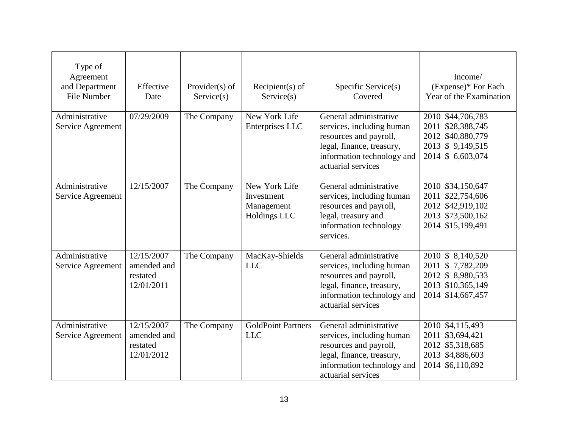| Type of<br>Agreement<br>and Department<br><b>File Number</b> | Effective<br>Date                                   | Provider $(s)$ of<br>Service(s) | Recipient $(s)$ of<br>Service(s)                          | Specific Service(s)<br>Covered                                                                                                                                 | Income/<br>(Expense)* For Each<br>Year of the Examination                                             |
|--------------------------------------------------------------|-----------------------------------------------------|---------------------------------|-----------------------------------------------------------|----------------------------------------------------------------------------------------------------------------------------------------------------------------|-------------------------------------------------------------------------------------------------------|
| Administrative<br>Service Agreement                          | 07/29/2009                                          | The Company                     | New York Life<br>Enterprises LLC                          | General administrative<br>services, including human<br>resources and payroll,<br>legal, finance, treasury,<br>information technology and<br>actuarial services | 2010 \$44,706,783<br>2011 \$28,388,745<br>2012 \$40,880,779<br>2013 \$9,149,515<br>2014 \$ 6,603,074  |
| Administrative<br>Service Agreement                          | 12/15/2007                                          | The Company                     | New York Life<br>Investment<br>Management<br>Holdings LLC | General administrative<br>services, including human<br>resources and payroll,<br>legal, treasury and<br>information technology<br>services.                    | 2010 \$34,150,647<br>2011 \$22,754,606<br>2012 \$42,919,102<br>2013 \$73,500,162<br>2014 \$15,199,491 |
| Administrative<br>Service Agreement                          | 12/15/2007<br>amended and<br>restated<br>12/01/2011 | The Company                     | MacKay-Shields<br><b>LLC</b>                              | General administrative<br>services, including human<br>resources and payroll,<br>legal, finance, treasury,<br>information technology and<br>actuarial services | 2010 \$ 8,140,520<br>2011 \$7,782,209<br>2012 \$8,980,533<br>2013 \$10,365,149<br>2014 \$14,667,457   |
| Administrative<br>Service Agreement                          | 12/15/2007<br>amended and<br>restated<br>12/01/2012 | The Company                     | <b>GoldPoint Partners</b><br><b>LLC</b>                   | General administrative<br>services, including human<br>resources and payroll,<br>legal, finance, treasury,<br>information technology and<br>actuarial services | 2010 \$4,115,493<br>2011 \$3,694,421<br>2012 \$5,318,685<br>2013 \$4,886,603<br>2014 \$6,110,892      |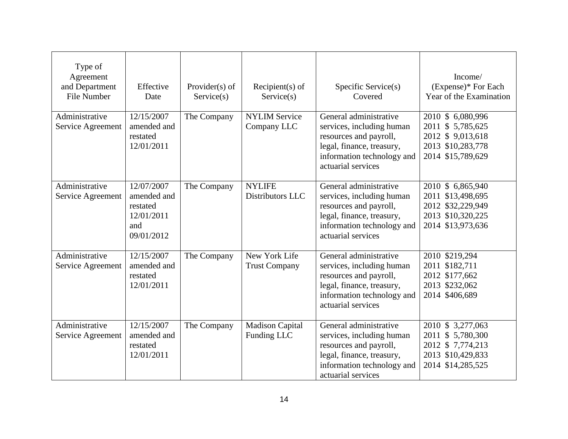| Type of<br>Agreement<br>and Department<br><b>File Number</b> | Effective<br>Date                                                        | Provider $(s)$ of<br>Service(s) | $Recipient(s)$ of<br>Service(s)       | Specific Service(s)<br>Covered                                                                                                                                 | Income/<br>(Expense)* For Each<br>Year of the Examination                                             |
|--------------------------------------------------------------|--------------------------------------------------------------------------|---------------------------------|---------------------------------------|----------------------------------------------------------------------------------------------------------------------------------------------------------------|-------------------------------------------------------------------------------------------------------|
| Administrative<br>Service Agreement                          | 12/15/2007<br>amended and<br>restated<br>12/01/2011                      | The Company                     | <b>NYLIM Service</b><br>Company LLC   | General administrative<br>services, including human<br>resources and payroll,<br>legal, finance, treasury,<br>information technology and<br>actuarial services | 2010 \$ 6,080,996<br>2011 \$5,785,625<br>2012 \$9,013,618<br>2013 \$10,283,778<br>2014 \$15,789,629   |
| Administrative<br>Service Agreement                          | 12/07/2007<br>amended and<br>restated<br>12/01/2011<br>and<br>09/01/2012 | The Company                     | <b>NYLIFE</b><br>Distributors LLC     | General administrative<br>services, including human<br>resources and payroll,<br>legal, finance, treasury,<br>information technology and<br>actuarial services | 2010 \$ 6,865,940<br>2011 \$13,498,695<br>2012 \$32,229,949<br>2013 \$10,320,225<br>2014 \$13,973,636 |
| Administrative<br>Service Agreement                          | 12/15/2007<br>amended and<br>restated<br>12/01/2011                      | The Company                     | New York Life<br><b>Trust Company</b> | General administrative<br>services, including human<br>resources and payroll,<br>legal, finance, treasury,<br>information technology and<br>actuarial services | 2010 \$219,294<br>2011 \$182,711<br>2012 \$177,662<br>2013 \$232,062<br>2014 \$406,689                |
| Administrative<br>Service Agreement                          | 12/15/2007<br>amended and<br>restated<br>12/01/2011                      | The Company                     | <b>Madison Capital</b><br>Funding LLC | General administrative<br>services, including human<br>resources and payroll,<br>legal, finance, treasury,<br>information technology and<br>actuarial services | 2010 \$ 3,277,063<br>2011 \$5,780,300<br>2012 \$ 7,774,213<br>2013 \$10,429,833<br>2014 \$14,285,525  |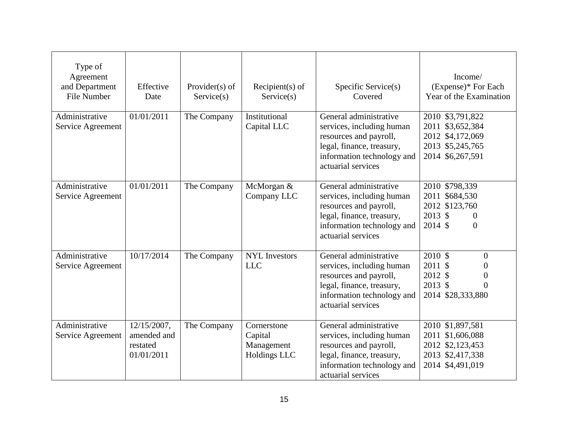| Type of<br>Agreement<br>and Department<br><b>File Number</b> | Effective<br>Date                                    | Provider $(s)$ of<br>Service(s) | Recipient $(s)$ of<br>Service(s)                            | Specific Service(s)<br>Covered                                                                                                                                 | Income/<br>(Expense)* For Each<br>Year of the Examination                                         |
|--------------------------------------------------------------|------------------------------------------------------|---------------------------------|-------------------------------------------------------------|----------------------------------------------------------------------------------------------------------------------------------------------------------------|---------------------------------------------------------------------------------------------------|
| Administrative<br>Service Agreement                          | 01/01/2011                                           | The Company                     | Institutional<br>Capital LLC                                | General administrative<br>services, including human<br>resources and payroll,<br>legal, finance, treasury,<br>information technology and<br>actuarial services | 2010 \$3,791,822<br>2011 \$3,652,384<br>2012 \$4,172,069<br>2013 \$5,245,765<br>2014 \$6,267,591  |
| Administrative<br>Service Agreement                          | 01/01/2011                                           | The Company                     | McMorgan &<br>Company LLC                                   | General administrative<br>services, including human<br>resources and payroll,<br>legal, finance, treasury,<br>information technology and<br>actuarial services | 2010 \$798,339<br>2011 \$684,530<br>2012 \$123,760<br>2013 \$<br>0<br>2014 \$<br>$\boldsymbol{0}$ |
| Administrative<br>Service Agreement                          | 10/17/2014                                           | The Company                     | <b>NYL</b> Investors<br><b>LLC</b>                          | General administrative<br>services, including human<br>resources and payroll,<br>legal, finance, treasury,<br>information technology and<br>actuarial services | 2010 \$<br>$\Omega$<br>2011 \$<br>2012 \$<br>$\theta$<br>2013 \$<br>$\Omega$<br>2014 \$28,333,880 |
| Administrative<br>Service Agreement                          | 12/15/2007,<br>amended and<br>restated<br>01/01/2011 | The Company                     | Cornerstone<br>Capital<br>Management<br><b>Holdings LLC</b> | General administrative<br>services, including human<br>resources and payroll,<br>legal, finance, treasury,<br>information technology and<br>actuarial services | 2010 \$1,897,581<br>2011 \$1,606,088<br>2012 \$2,123,453<br>2013 \$2,417,338<br>2014 \$4,491,019  |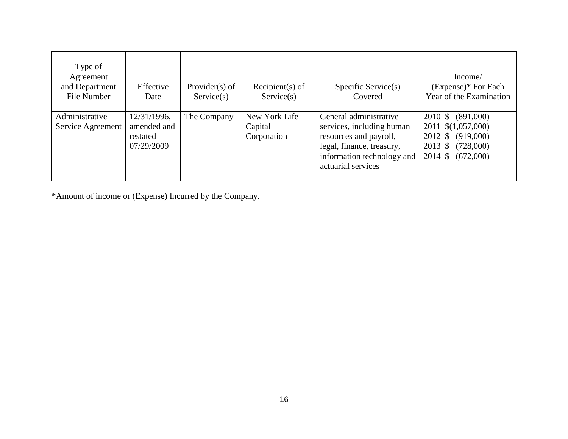| Type of<br>Agreement<br>and Department<br>File Number | Effective<br>Date                                    | Provider $(s)$ of<br>Service(s) | Recipient $(s)$ of<br>Service(s)        | Specific Service(s)<br>Covered                                                                                                                                 | Income/<br>(Expense)* For Each<br>Year of the Examination                                              |
|-------------------------------------------------------|------------------------------------------------------|---------------------------------|-----------------------------------------|----------------------------------------------------------------------------------------------------------------------------------------------------------------|--------------------------------------------------------------------------------------------------------|
| Administrative<br>Service Agreement                   | 12/31/1996,<br>amended and<br>restated<br>07/29/2009 | The Company                     | New York Life<br>Capital<br>Corporation | General administrative<br>services, including human<br>resources and payroll,<br>legal, finance, treasury,<br>information technology and<br>actuarial services | 2010 \$ (891,000)<br>2011 \$(1,057,000)<br>2012 \$ (919,000)<br>2013 \$ (728,000)<br>2014 \$ (672,000) |

\*Amount of income or (Expense) Incurred by the Company.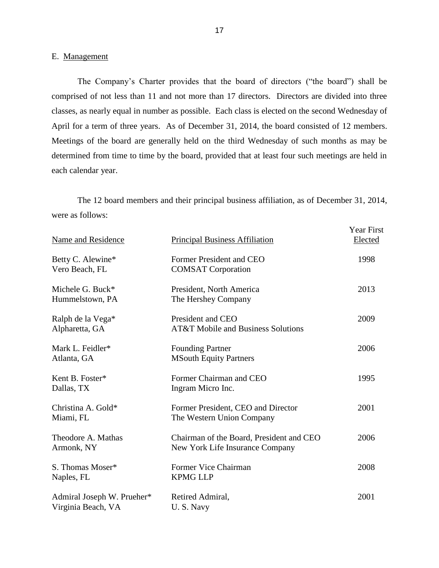#### E. Management

 The Company's Charter provides that the board of directors ("the board") shall be comprised of not less than 11 and not more than 17 directors. Directors are divided into three classes, as nearly equal in number as possible. Each class is elected on the second Wednesday of April for a term of three years. As of December 31, 2014, the board consisted of 12 members. Meetings of the board are generally held on the third Wednesday of such months as may be determined from time to time by the board, provided that at least four such meetings are held in each calendar year.

 were as follows: The 12 board members and their principal business affiliation, as of December 31, 2014,

| <b>Name and Residence</b>                        | <b>Principal Business Affiliation</b>                                       | <b>Year First</b><br>Elected |
|--------------------------------------------------|-----------------------------------------------------------------------------|------------------------------|
| Betty C. Alewine*<br>Vero Beach, FL              | Former President and CEO<br><b>COMSAT</b> Corporation                       | 1998                         |
| Michele G. Buck*<br>Hummelstown, PA              | President, North America<br>The Hershey Company                             | 2013                         |
| Ralph de la Vega*<br>Alpharetta, GA              | President and CEO<br><b>AT&amp;T Mobile and Business Solutions</b>          | 2009                         |
| Mark L. Feidler*<br>Atlanta, GA                  | <b>Founding Partner</b><br><b>MSouth Equity Partners</b>                    | 2006                         |
| Kent B. Foster*<br>Dallas, TX                    | Former Chairman and CEO<br>Ingram Micro Inc.                                | 1995                         |
| Christina A. Gold*<br>Miami, FL                  | Former President, CEO and Director<br>The Western Union Company             | 2001                         |
| Theodore A. Mathas<br>Armonk, NY                 | Chairman of the Board, President and CEO<br>New York Life Insurance Company | 2006                         |
| S. Thomas Moser*<br>Naples, FL                   | Former Vice Chairman<br><b>KPMG LLP</b>                                     | 2008                         |
| Admiral Joseph W. Prueher*<br>Virginia Beach, VA | Retired Admiral,<br>U.S. Navy                                               | 2001                         |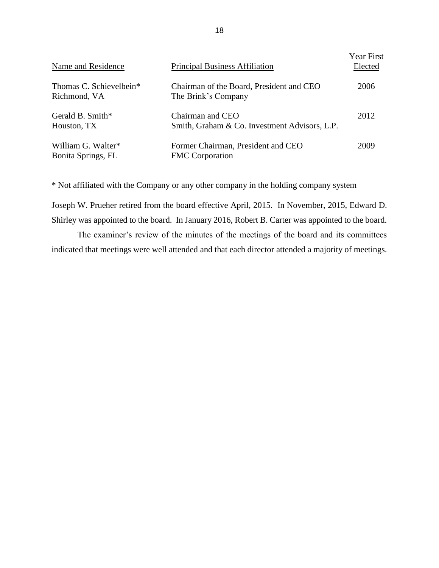| Name and Residence                       | <b>Principal Business Affiliation</b>                             | Year First<br>Elected |
|------------------------------------------|-------------------------------------------------------------------|-----------------------|
| Thomas C. Schievelbein*<br>Richmond, VA  | Chairman of the Board, President and CEO<br>The Brink's Company   | 2006                  |
| Gerald B. Smith*<br>Houston, TX          | Chairman and CEO<br>Smith, Graham & Co. Investment Advisors, L.P. | 2012                  |
| William G. Walter*<br>Bonita Springs, FL | Former Chairman, President and CEO<br><b>FMC</b> Corporation      | 2009                  |

\* Not affiliated with the Company or any other company in the holding company system

 Joseph W. Prueher retired from the board effective April, 2015. In November, 2015, Edward D. Shirley was appointed to the board. In January 2016, Robert B. Carter was appointed to the board.

 indicated that meetings were well attended and that each director attended a majority of meetings. The examiner's review of the minutes of the meetings of the board and its committees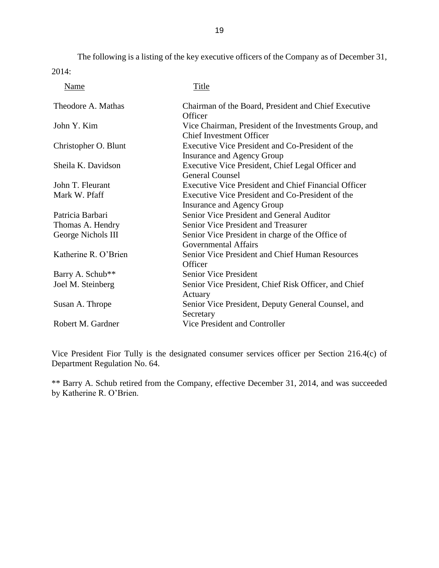The following is a listing of the key executive officers of the Company as of December 31, 2014:

| Title                                                                                     |
|-------------------------------------------------------------------------------------------|
| Chairman of the Board, President and Chief Executive<br>Officer                           |
| Vice Chairman, President of the Investments Group, and<br><b>Chief Investment Officer</b> |
| Executive Vice President and Co-President of the<br><b>Insurance and Agency Group</b>     |
| Executive Vice President, Chief Legal Officer and<br><b>General Counsel</b>               |
| <b>Executive Vice President and Chief Financial Officer</b>                               |
| Executive Vice President and Co-President of the<br>Insurance and Agency Group            |
| Senior Vice President and General Auditor                                                 |
| <b>Senior Vice President and Treasurer</b>                                                |
| Senior Vice President in charge of the Office of<br>Governmental Affairs                  |
| <b>Senior Vice President and Chief Human Resources</b><br>Officer                         |
| <b>Senior Vice President</b>                                                              |
| Senior Vice President, Chief Risk Officer, and Chief<br>Actuary                           |
| Senior Vice President, Deputy General Counsel, and<br>Secretary                           |
| Vice President and Controller                                                             |
|                                                                                           |

Vice President Fior Tully is the designated consumer services officer per Section 216.4(c) of Department Regulation No. 64.

 \*\* Barry A. Schub retired from the Company, effective December 31, 2014, and was succeeded by Katherine R. O'Brien.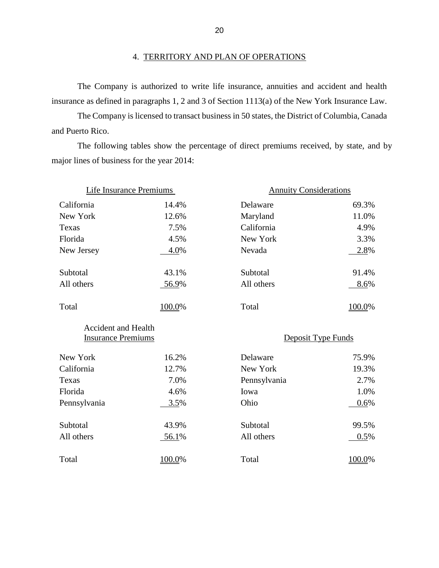## 4. TERRITORY AND PLAN OF OPERATIONS

The Company is authorized to write life insurance, annuities and accident and health insurance as defined in paragraphs 1, 2 and 3 of Section 1113(a) of the New York Insurance Law.

The Company is licensed to transact business in 50 states, the District of Columbia, Canada and Puerto Rico.

 major lines of business for the year 2014: The following tables show the percentage of direct premiums received, by state, and by

|                                                         | <b>Life Insurance Premiums</b> | <b>Annuity Considerations</b> |                    |
|---------------------------------------------------------|--------------------------------|-------------------------------|--------------------|
| California                                              | 14.4%                          | Delaware                      | 69.3%              |
| New York                                                | 12.6%                          | Maryland                      | 11.0%              |
| Texas                                                   | 7.5%                           | California                    | 4.9%               |
| Florida                                                 | 4.5%                           | New York                      | 3.3%               |
| New Jersey                                              | 4.0%                           | Nevada                        | 2.8%               |
| Subtotal                                                | 43.1%                          | Subtotal                      | 91.4%              |
| All others                                              | 56.9%                          | All others                    | 8.6%               |
| Total                                                   | 100.0%                         | Total                         | 100.0%             |
| <b>Accident and Health</b><br><b>Insurance Premiums</b> |                                |                               | Deposit Type Funds |
| New York                                                | 16.2%                          | Delaware                      | 75.9%              |
| California                                              | 12.7%                          | New York                      | 19.3%              |
| Texas                                                   | 7.0%                           | Pennsylvania                  | 2.7%               |
| Florida                                                 | 4.6%                           | Iowa                          | 1.0%               |
| Pennsylvania                                            | 3.5%                           | Ohio                          | $0.6\%$            |
| Subtotal                                                | 43.9%                          | Subtotal                      | 99.5%              |
|                                                         |                                |                               |                    |
| All others                                              | $56.1\%$                       | All others                    | $0.5\%$            |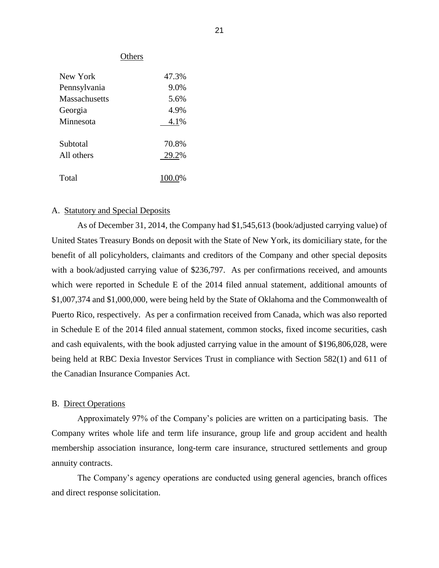#### **Others**

| New York      | 47.3% |
|---------------|-------|
| Pennsylvania  | 9.0%  |
| Massachusetts | 5.6%  |
| Georgia       | 4.9%  |
| Minnesota     | 4.1%  |
|               |       |
| Subtotal      | 70.8% |
| All others    | 29.2% |
|               |       |
| Total         |       |

#### A. Statutory and Special Deposits

 As of December 31, 2014, the Company had \$1,545,613 (book/adjusted carrying value) of United States Treasury Bonds on deposit with the State of New York, its domiciliary state, for the benefit of all policyholders, claimants and creditors of the Company and other special deposits with a book/adjusted carrying value of \$236,797. As per confirmations received, and amounts which were reported in Schedule E of the 2014 filed annual statement, additional amounts of \$1,007,374 and \$1,000,000, were being held by the State of Oklahoma and the Commonwealth of Puerto Rico, respectively. As per a confirmation received from Canada, which was also reported in Schedule E of the 2014 filed annual statement, common stocks, fixed income securities, cash being held at RBC Dexia Investor Services Trust in compliance with Section 582(1) and 611 of the Canadian Insurance Companies Act.<br>B. <u>Direct Operations</u> and cash equivalents, with the book adjusted carrying value in the amount of \$196,806,028, were

 Approximately 97% of the Company's policies are written on a participating basis. The Company writes whole life and term life insurance, group life and group accident and health annuity contracts. membership association insurance, long-term care insurance, structured settlements and group

 The Company's agency operations are conducted using general agencies, branch offices and direct response solicitation.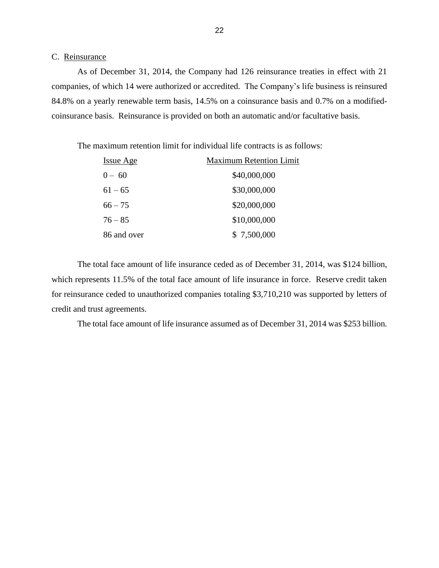#### C. Reinsurance

 As of December 31, 2014, the Company had 126 reinsurance treaties in effect with 21 84.8% on a yearly renewable term basis, 14.5% on a coinsurance basis and 0.7% on a modifiedcompanies, of which 14 were authorized or accredited. The Company's life business is reinsured coinsurance basis. Reinsurance is provided on both an automatic and/or facultative basis.

The maximum retention limit for individual life contracts is as follows:

| Issue Age   | <b>Maximum Retention Limit</b> |
|-------------|--------------------------------|
| $0 - 60$    | \$40,000,000                   |
| $61 - 65$   | \$30,000,000                   |
| $66 - 75$   | \$20,000,000                   |
| $76 - 85$   | \$10,000,000                   |
| 86 and over | \$7,500,000                    |

 The total face amount of life insurance ceded as of December 31, 2014, was \$124 billion, which represents 11.5% of the total face amount of life insurance in force. Reserve credit taken for reinsurance ceded to unauthorized companies totaling \$3,710,210 was supported by letters of credit and trust agreements.

The total face amount of life insurance assumed as of December 31, 2014 was \$253 billion.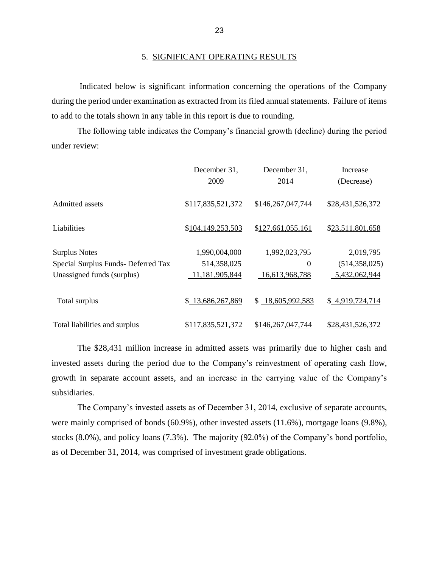during the period under examination as extracted from its filed annual statements. Failure of items Indicated below is significant information concerning the operations of the Company to add to the totals shown in any table in this report is due to rounding.

 The following table indicates the Company's financial growth (decline) during the period under review:

|                                     | December 31,      | December 31,      | Increase         |  |
|-------------------------------------|-------------------|-------------------|------------------|--|
|                                     | 2009              | 2014              | (Decrease)       |  |
| Admitted assets                     | \$117,835,521,372 | \$146,267,047,744 | \$28,431,526,372 |  |
| Liabilities                         | \$104,149,253,503 | \$127,661,055,161 | \$23,511,801,658 |  |
| <b>Surplus Notes</b>                | 1,990,004,000     | 1,992,023,795     | 2,019,795        |  |
| Special Surplus Funds- Deferred Tax | 514,358,025       | $\boldsymbol{0}$  | (514, 358, 025)  |  |
| Unassigned funds (surplus)          | 11,181,905,844    | 16,613,968,788    | 5,432,062,944    |  |
| Total surplus                       | \$13,686,267,869  | \$18,605,992,583  | \$4,919,724,714  |  |
| Total liabilities and surplus       | \$117,835,521,372 | \$146,267,047,744 | \$28,431,526,372 |  |

 invested assets during the period due to the Company's reinvestment of operating cash flow, growth in separate account assets, and an increase in the carrying value of the Company's The \$28,431 million increase in admitted assets was primarily due to higher cash and subsidiaries.

 The Company's invested assets as of December 31, 2014, exclusive of separate accounts, were mainly comprised of bonds (60.9%), other invested assets (11.6%), mortgage loans (9.8%), stocks (8.0%), and policy loans (7.3%). The majority (92.0%) of the Company's bond portfolio, as of December 31, 2014, was comprised of investment grade obligations.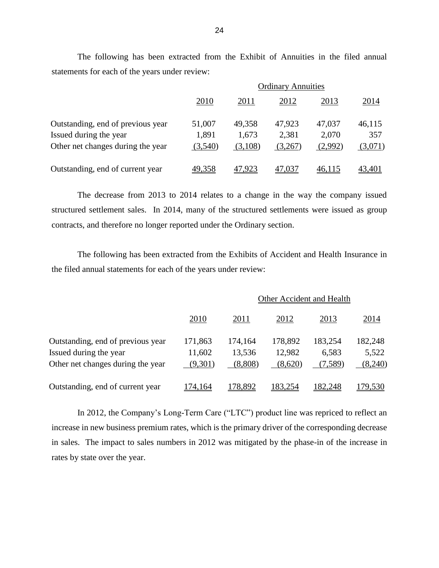The following has been extracted from the Exhibit of Annuities in the filed annual statements for each of the years under review:

|                                   | <b>Ordinary Annuities</b> |         |         |         |         |  |
|-----------------------------------|---------------------------|---------|---------|---------|---------|--|
|                                   | 2010                      | 2011    | 2012    | 2013    | 2014    |  |
| Outstanding, end of previous year | 51,007                    | 49,358  | 47,923  | 47,037  | 46,115  |  |
| Issued during the year            | 1,891                     | 1,673   | 2,381   | 2,070   | 357     |  |
| Other net changes during the year | (3,540)                   | (3,108) | (3,267) | (2,992) | (3,071) |  |
| Outstanding, end of current year  | 49,358                    | 47,923  | 47,037  | 46,115  | 43,401  |  |

 The decrease from 2013 to 2014 relates to a change in the way the company issued structured settlement sales. In 2014, many of the structured settlements were issued as group contracts, and therefore no longer reported under the Ordinary section.

The following has been extracted from the Exhibits of Accident and Health Insurance in the filed annual statements for each of the years under review:

|                                   | Other Accident and Health |         |         |         |         |  |
|-----------------------------------|---------------------------|---------|---------|---------|---------|--|
|                                   | 2010                      | 2011    | 2012    | 2013    | 2014    |  |
| Outstanding, end of previous year | 171,863                   | 174,164 | 178,892 | 183,254 | 182,248 |  |
| Issued during the year            | 11,602                    | 13,536  | 12,982  | 6,583   | 5,522   |  |
| Other net changes during the year | (9,301)                   | (8,808) | (8,620) | (7,589) | (8,240) |  |
| Outstanding, end of current year  | 174,164                   | 178,892 | 183,254 | 182,248 | 179,530 |  |

 In 2012, the Company's Long-Term Care ("LTC") product line was repriced to reflect an increase in new business premium rates, which is the primary driver of the corresponding decrease in sales. The impact to sales numbers in 2012 was mitigated by the phase-in of the increase in rates by state over the year.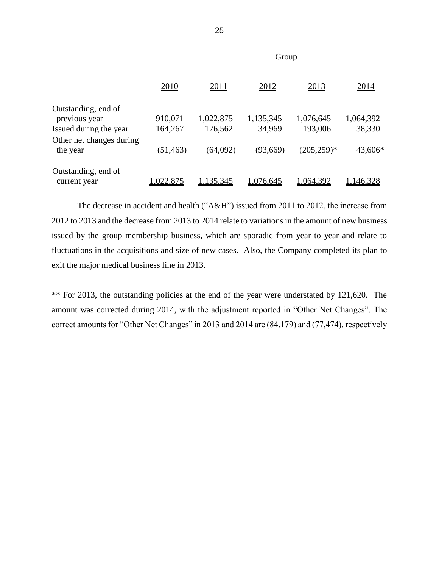|                                      | Group     |           |           |              |           |  |
|--------------------------------------|-----------|-----------|-----------|--------------|-----------|--|
|                                      | 2010      | 2011      | 2012      | 2013         | 2014      |  |
| Outstanding, end of<br>previous year | 910,071   | 1,022,875 | 1,135,345 | 1,076,645    | 1,064,392 |  |
| Issued during the year               | 164,267   | 176,562   | 34,969    | 193,006      | 38,330    |  |
| Other net changes during<br>the year | (51, 463) | (64,092)  | (93,669)  | $(205,259)*$ | 43,606*   |  |
| Outstanding, end of<br>current year  | 1,022,875 | 1,135,345 | 1,076,645 | 1,064,392    | 1,146,328 |  |

 The decrease in accident and health ("A&H") issued from 2011 to 2012, the increase from issued by the group membership business, which are sporadic from year to year and relate to fluctuations in the acquisitions and size of new cases. Also, the Company completed its plan to exit the major medical business line in 2013. 2012 to 2013 and the decrease from 2013 to 2014 relate to variations in the amount of new business

 \*\* For 2013, the outstanding policies at the end of the year were understated by 121,620. The amount was corrected during 2014, with the adjustment reported in "Other Net Changes". The correct amounts for "Other Net Changes" in 2013 and 2014 are (84,179) and (77,474), respectively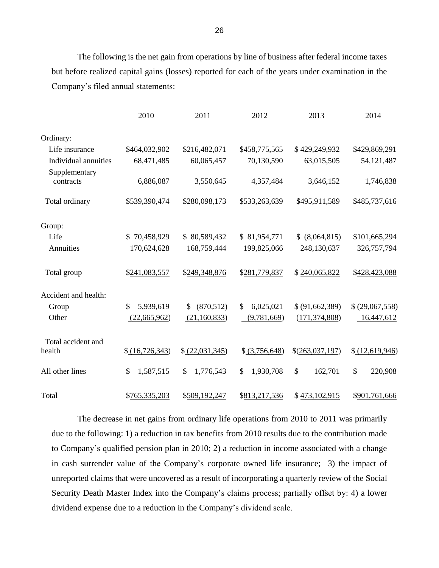The following is the net gain from operations by line of business after federal income taxes but before realized capital gains (losses) reported for each of the years under examination in the Company's filed annual statements:

|                            | 2010              | 2011             | 2012            | 2013                    | 2014            |
|----------------------------|-------------------|------------------|-----------------|-------------------------|-----------------|
| Ordinary:                  |                   |                  |                 |                         |                 |
| Life insurance             | \$464,032,902     | \$216,482,071    | \$458,775,565   | \$429,249,932           | \$429,869,291   |
| Individual annuities       | 68,471,485        | 60,065,457       | 70,130,590      | 63,015,505              | 54, 121, 487    |
| Supplementary<br>contracts | 6,886,087         | 3,550,645        | 4,357,484       | 3,646,152               | 1,746,838       |
| Total ordinary             | \$539,390,474     | \$280,098,173    | \$533,263,639   | \$495,911,589           | \$485,737,616   |
| Group:                     |                   |                  |                 |                         |                 |
| Life                       | 70,458,929        | \$80,589,432     | \$81,954,771    | \$ (8,064,815)          | \$101,665,294   |
| Annuities                  | 170,624,628       | 168,759,444      | 199,825,066     | 248,130,637             | 326,757,794     |
| Total group                | \$241,083,557     | \$249,348,876    | \$281,779,837   | \$240,065,822           | \$428,423,088   |
| Accident and health:       |                   |                  |                 |                         |                 |
| Group                      | \$<br>5,939,619   | (870, 512)<br>\$ | \$<br>6,025,021 | \$ (91,662,389)         | \$ (29,067,558) |
| Other                      | (22,665,962)      | (21, 160, 833)   | (9,781,669)     | (171, 374, 808)         | 16,447,612      |
| Total accident and         |                   |                  |                 |                         |                 |
| health                     | \$ (16, 726, 343) | \$ (22,031,345)  | \$ (3,756,648)  | \$(263,037,197)         | \$ (12,619,946) |
| All other lines            | 1,587,515<br>\$   | \$1,776,543      | \$1,930,708     | $\mathbb{S}$<br>162,701 | 220,908<br>\$   |
| Total                      | \$765,335,203     | \$509,192,247    | \$813,217,536   | \$473,102,915           | \$901,761,666   |

 The decrease in net gains from ordinary life operations from 2010 to 2011 was primarily due to the following: 1) a reduction in tax benefits from 2010 results due to the contribution made to Company's qualified pension plan in 2010; 2) a reduction in income associated with a change in cash surrender value of the Company's corporate owned life insurance; 3) the impact of unreported claims that were uncovered as a result of incorporating a quarterly review of the Social Security Death Master Index into the Company's claims process; partially offset by: 4) a lower dividend expense due to a reduction in the Company's dividend scale.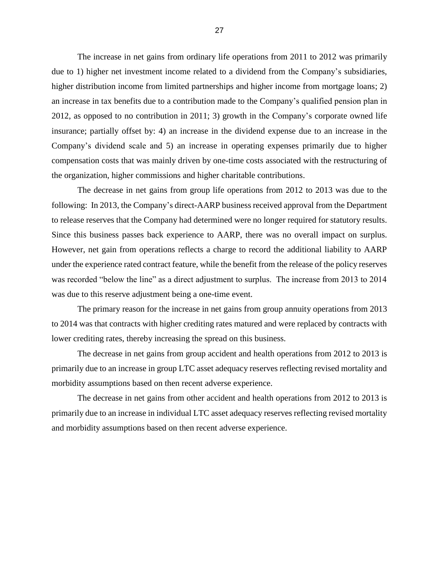The increase in net gains from ordinary life operations from 2011 to 2012 was primarily due to 1) higher net investment income related to a dividend from the Company's subsidiaries, higher distribution income from limited partnerships and higher income from mortgage loans; 2) an increase in tax benefits due to a contribution made to the Company's qualified pension plan in 2012, as opposed to no contribution in 2011; 3) growth in the Company's corporate owned life insurance; partially offset by: 4) an increase in the dividend expense due to an increase in the Company's dividend scale and 5) an increase in operating expenses primarily due to higher compensation costs that was mainly driven by one-time costs associated with the restructuring of the organization, higher commissions and higher charitable contributions.

 The decrease in net gains from group life operations from 2012 to 2013 was due to the to release reserves that the Company had determined were no longer required for statutory results. Since this business passes back experience to AARP, there was no overall impact on surplus. However, net gain from operations reflects a charge to record the additional liability to AARP However, net gain from operations reflects a charge to record the additional liability to AARP under the experience rated contract feature, while the benefit from the release of the policy reserves was recorded "below the line" as a direct adjustment to surplus. The increase from 2013 to 2014 following: In 2013, the Company's direct-AARP business received approval from the Department was due to this reserve adjustment being a one-time event.

 to 2014 was that contracts with higher crediting rates matured and were replaced by contracts with The primary reason for the increase in net gains from group annuity operations from 2013 lower crediting rates, thereby increasing the spread on this business.

 The decrease in net gains from group accident and health operations from 2012 to 2013 is primarily due to an increase in group LTC asset adequacy reserves reflecting revised mortality and morbidity assumptions based on then recent adverse experience.

 The decrease in net gains from other accident and health operations from 2012 to 2013 is primarily due to an increase in individual LTC asset adequacy reserves reflecting revised mortality and morbidity assumptions based on then recent adverse experience.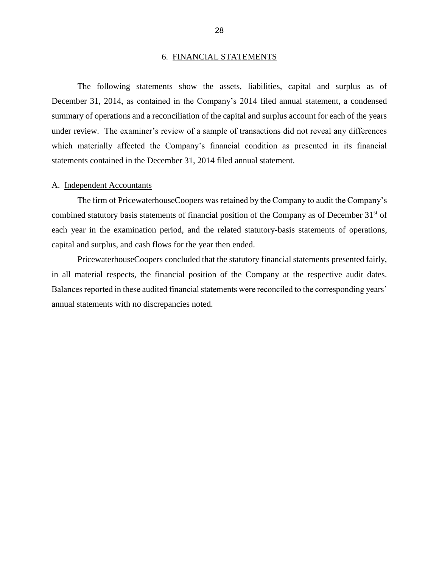#### 6. FINANCIAL STATEMENTS

<span id="page-30-0"></span> December 31, 2014, as contained in the Company's 2014 filed annual statement, a condensed summary of operations and a reconciliation of the capital and surplus account for each of the years under review. The examiner's review of a sample of transactions did not reveal any differences The following statements show the assets, liabilities, capital and surplus as of which materially affected the Company's financial condition as presented in its financial statements contained in the December 31, 2014 filed annual statement.

#### A. Independent Accountants

combined statutory basis statements of financial position of the Company as of December 31<sup>st</sup> of The firm of PricewaterhouseCoopers was retained by the Company to audit the Company's each year in the examination period, and the related statutory-basis statements of operations, capital and surplus, and cash flows for the year then ended.

 in all material respects, the financial position of the Company at the respective audit dates. Balances reported in these audited financial statements were reconciled to the corresponding years' PricewaterhouseCoopers concluded that the statutory financial statements presented fairly, annual statements with no discrepancies noted.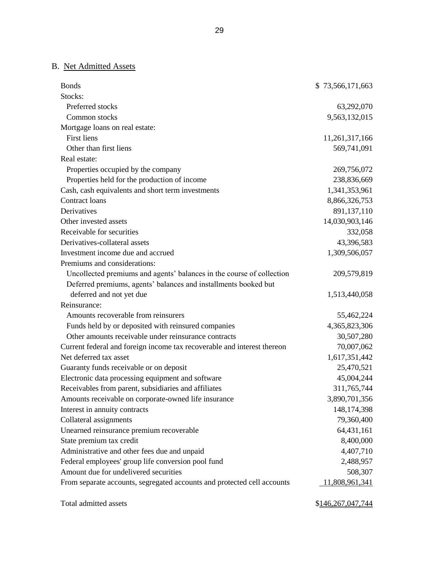## B. Net Admitted Assets

| <b>Bonds</b>                                                            | \$73,566,171,663 |
|-------------------------------------------------------------------------|------------------|
| Stocks:                                                                 |                  |
| Preferred stocks                                                        | 63,292,070       |
| Common stocks                                                           | 9,563,132,015    |
| Mortgage loans on real estate:                                          |                  |
| <b>First liens</b>                                                      | 11,261,317,166   |
| Other than first liens                                                  | 569,741,091      |
| Real estate:                                                            |                  |
| Properties occupied by the company                                      | 269,756,072      |
| Properties held for the production of income                            | 238,836,669      |
| Cash, cash equivalents and short term investments                       | 1,341,353,961    |
| Contract loans                                                          | 8,866,326,753    |
| Derivatives                                                             | 891,137,110      |
| Other invested assets                                                   | 14,030,903,146   |
| Receivable for securities                                               | 332,058          |
| Derivatives-collateral assets                                           | 43,396,583       |
| Investment income due and accrued                                       | 1,309,506,057    |
| Premiums and considerations:                                            |                  |
| Uncollected premiums and agents' balances in the course of collection   | 209,579,819      |
| Deferred premiums, agents' balances and installments booked but         |                  |
| deferred and not yet due                                                | 1,513,440,058    |
| Reinsurance:                                                            |                  |
| Amounts recoverable from reinsurers                                     | 55,462,224       |
| Funds held by or deposited with reinsured companies                     | 4,365,823,306    |
| Other amounts receivable under reinsurance contracts                    | 30,507,280       |
| Current federal and foreign income tax recoverable and interest thereon | 70,007,062       |
| Net deferred tax asset                                                  | 1,617,351,442    |
| Guaranty funds receivable or on deposit                                 | 25,470,521       |
| Electronic data processing equipment and software                       | 45,004,244       |
| Receivables from parent, subsidiaries and affiliates                    | 311,765,744      |
| Amounts receivable on corporate-owned life insurance                    | 3,890,701,356    |
| Interest in annuity contracts                                           | 148, 174, 398    |
| Collateral assignments                                                  | 79,360,400       |
| Unearned reinsurance premium recoverable                                | 64,431,161       |
| State premium tax credit                                                | 8,400,000        |
| Administrative and other fees due and unpaid                            | 4,407,710        |
| Federal employees' group life conversion pool fund                      | 2,488,957        |
| Amount due for undelivered securities                                   | 508,307          |
| From separate accounts, segregated accounts and protected cell accounts | 11,808,961,341   |
|                                                                         |                  |

Total admitted assets  $$146,267,047,744$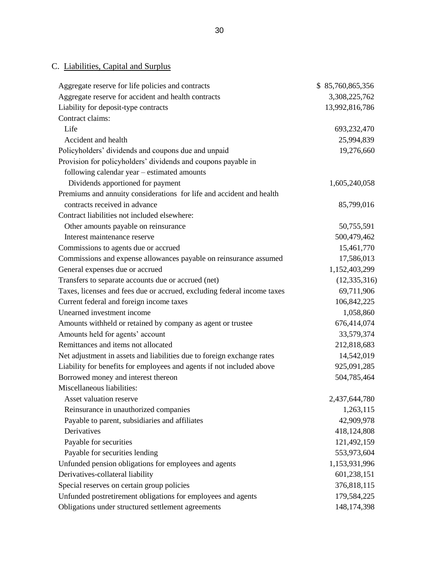# C. Liabilities, Capital and Surplus

| Aggregate reserve for life policies and contracts                       | \$85,760,865,356 |
|-------------------------------------------------------------------------|------------------|
| Aggregate reserve for accident and health contracts                     | 3,308,225,762    |
| Liability for deposit-type contracts                                    | 13,992,816,786   |
| Contract claims:                                                        |                  |
| Life                                                                    | 693,232,470      |
| Accident and health                                                     | 25,994,839       |
| Policyholders' dividends and coupons due and unpaid                     | 19,276,660       |
| Provision for policyholders' dividends and coupons payable in           |                  |
| following calendar year - estimated amounts                             |                  |
| Dividends apportioned for payment                                       | 1,605,240,058    |
| Premiums and annuity considerations for life and accident and health    |                  |
| contracts received in advance                                           | 85,799,016       |
| Contract liabilities not included elsewhere:                            |                  |
| Other amounts payable on reinsurance                                    | 50,755,591       |
| Interest maintenance reserve                                            | 500,479,462      |
| Commissions to agents due or accrued                                    | 15,461,770       |
| Commissions and expense allowances payable on reinsurance assumed       | 17,586,013       |
| General expenses due or accrued                                         | 1,152,403,299    |
| Transfers to separate accounts due or accrued (net)                     | (12, 335, 316)   |
| Taxes, licenses and fees due or accrued, excluding federal income taxes | 69,711,906       |
| Current federal and foreign income taxes                                | 106,842,225      |
| Unearned investment income                                              | 1,058,860        |
| Amounts withheld or retained by company as agent or trustee             | 676,414,074      |
| Amounts held for agents' account                                        | 33,579,374       |
| Remittances and items not allocated                                     | 212,818,683      |
| Net adjustment in assets and liabilities due to foreign exchange rates  | 14,542,019       |
| Liability for benefits for employees and agents if not included above   | 925,091,285      |
| Borrowed money and interest thereon                                     | 504,785,464      |
| Miscellaneous liabilities:                                              |                  |
| Asset valuation reserve                                                 | 2,437,644,780    |
| Reinsurance in unauthorized companies                                   | 1,263,115        |
| Payable to parent, subsidiaries and affiliates                          | 42,909,978       |
| Derivatives                                                             | 418,124,808      |
| Payable for securities                                                  | 121,492,159      |
| Payable for securities lending                                          | 553,973,604      |
| Unfunded pension obligations for employees and agents                   | 1,153,931,996    |
| Derivatives-collateral liability                                        | 601,238,151      |
| Special reserves on certain group policies                              | 376,818,115      |
| Unfunded postretirement obligations for employees and agents            | 179,584,225      |
| Obligations under structured settlement agreements                      | 148, 174, 398    |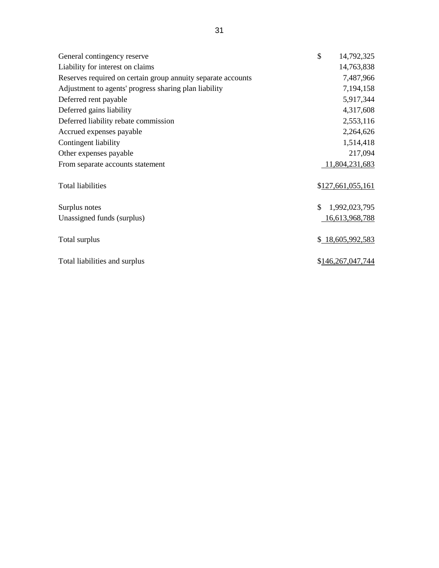| General contingency reserve                                  | \$           | 14,792,325        |
|--------------------------------------------------------------|--------------|-------------------|
| Liability for interest on claims                             |              | 14,763,838        |
| Reserves required on certain group annuity separate accounts |              | 7,487,966         |
| Adjustment to agents' progress sharing plan liability        |              | 7,194,158         |
| Deferred rent payable                                        |              | 5,917,344         |
| Deferred gains liability                                     |              | 4,317,608         |
| Deferred liability rebate commission                         |              | 2,553,116         |
| Accrued expenses payable                                     |              | 2,264,626         |
| Contingent liability                                         |              | 1,514,418         |
| Other expenses payable                                       |              | 217,094           |
| From separate accounts statement                             |              | 11,804,231,683    |
| <b>Total liabilities</b>                                     |              | \$127,661,055,161 |
| Surplus notes                                                | $\mathbf{s}$ | 1,992,023,795     |
| Unassigned funds (surplus)                                   |              | 16,613,968,788    |
| Total surplus                                                |              | \$18,605,992,583  |
| Total liabilities and surplus                                |              | \$146,267,047,744 |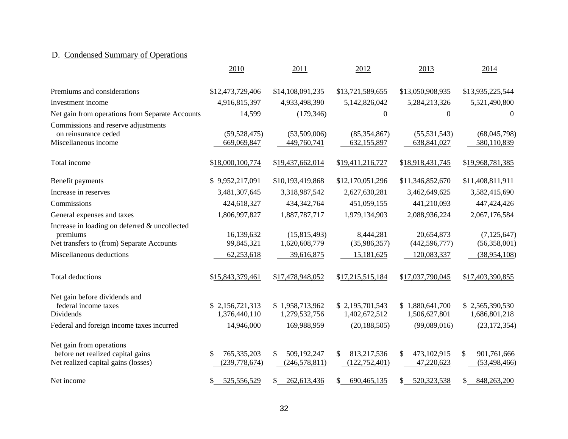## D. Condensed Summary of Operations

|                                                                                                      | 2010                             | 2011                                 | 2012                                 | 2013                             | 2014                                |
|------------------------------------------------------------------------------------------------------|----------------------------------|--------------------------------------|--------------------------------------|----------------------------------|-------------------------------------|
| Premiums and considerations                                                                          | \$12,473,729,406                 | \$14,108,091,235                     | \$13,721,589,655                     | \$13,050,908,935                 | \$13,935,225,544                    |
| Investment income                                                                                    | 4,916,815,397                    | 4,933,498,390                        | 5,142,826,042                        | 5,284,213,326                    | 5,521,490,800                       |
| Net gain from operations from Separate Accounts                                                      | 14,599                           | (179, 346)                           | $\Omega$                             | $\Omega$                         | $\Omega$                            |
| Commissions and reserve adjustments<br>on reinsurance ceded<br>Miscellaneous income                  | (59, 528, 475)<br>669,069,847    | (53,509,006)<br>449,760,741          | (85, 354, 867)<br>632,155,897        | (55, 531, 543)<br>638,841,027    | (68,045,798)<br>580,110,839         |
|                                                                                                      |                                  |                                      |                                      |                                  |                                     |
| Total income                                                                                         | \$18,000,100,774                 | \$19,437,662,014                     | \$19,411,216,727                     | \$18,918,431,745                 | \$19,968,781,385                    |
| Benefit payments                                                                                     | \$9,952,217,091                  | \$10,193,419,868                     | \$12,170,051,296                     | \$11,346,852,670                 | \$11,408,811,911                    |
| Increase in reserves                                                                                 | 3,481,307,645                    | 3,318,987,542                        | 2,627,630,281                        | 3,462,649,625                    | 3,582,415,690                       |
| Commissions                                                                                          | 424,618,327                      | 434, 342, 764                        | 451,059,155                          | 441,210,093                      | 447,424,426                         |
| General expenses and taxes                                                                           | 1,806,997,827                    | 1,887,787,717                        | 1,979,134,903                        | 2,088,936,224                    | 2,067,176,584                       |
| Increase in loading on deferred & uncollected                                                        |                                  |                                      |                                      |                                  |                                     |
| premiums                                                                                             | 16,139,632                       | (15,815,493)                         | 8,444,281                            | 20,654,873                       | (7, 125, 647)                       |
| Net transfers to (from) Separate Accounts                                                            | 99,845,321                       | 1,620,608,779                        | (35,986,357)                         | (442, 596, 777)                  | (56,358,001)                        |
| Miscellaneous deductions                                                                             | 62,253,618                       | 39,616,875                           | 15,181,625                           | 120,083,337                      | (38,954,108)                        |
| <b>Total deductions</b>                                                                              | \$15,843,379,461                 | \$17,478,948,052                     | \$17,215,515,184                     | \$17,037,790,045                 | \$17,403,390,855                    |
| Net gain before dividends and                                                                        |                                  |                                      |                                      |                                  |                                     |
| federal income taxes<br>Dividends                                                                    | \$2,156,721,313<br>1,376,440,110 | \$1,958,713,962<br>1,279,532,756     | \$2,195,701,543<br>1,402,672,512     | \$1,880,641,700<br>1,506,627,801 | \$2,565,390,530<br>1,686,801,218    |
| Federal and foreign income taxes incurred                                                            | 14,946,000                       | 169,988,959                          | (20, 188, 505)                       | (99,089,016)                     | (23, 172, 354)                      |
| Net gain from operations<br>before net realized capital gains<br>Net realized capital gains (losses) | 765,335,203<br>(239, 778, 674)   | \$<br>509,192,247<br>(246, 578, 811) | 813,217,536<br>\$<br>(122, 752, 401) | 473,102,915<br>\$<br>47,220,623  | \$<br>901,761,666<br>(53, 498, 466) |
| Net income                                                                                           | 525,556,529<br>S                 | 262,613,436<br>\$                    | 690,465,135<br>S.                    | 520, 323, 538<br>\$.             | 848,263,200<br>\$                   |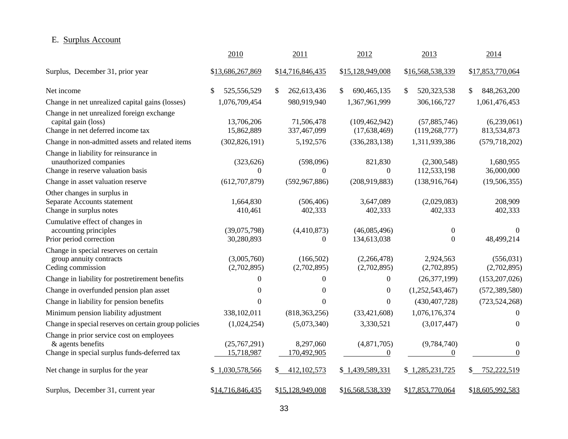## E. Surplus Account

|                                                                                                                | 2010                       | 2011                      | 2012                            | 2013                            | 2014                             |
|----------------------------------------------------------------------------------------------------------------|----------------------------|---------------------------|---------------------------------|---------------------------------|----------------------------------|
| Surplus, December 31, prior year                                                                               | \$13,686,267,869           | \$14,716,846,435          | \$15,128,949,008                | \$16,568,538,339                | \$17,853,770,064                 |
| Net income                                                                                                     | \$<br>525,556,529          | \$<br>262,613,436         | 690,465,135<br>\$               | \$<br>520, 323, 538             | \$<br>848,263,200                |
| Change in net unrealized capital gains (losses)                                                                | 1,076,709,454              | 980,919,940               | 1,367,961,999                   | 306,166,727                     | 1,061,476,453                    |
| Change in net unrealized foreign exchange<br>capital gain (loss)<br>Change in net deferred income tax          | 13,706,206<br>15,862,889   | 71,506,478<br>337,467,099 | (109, 462, 942)<br>(17,638,469) | (57,885,746)<br>(119, 268, 777) | (6,239,061)<br>813,534,873       |
| Change in non-admitted assets and related items                                                                | (302, 826, 191)            | 5,192,576                 | (336, 283, 138)                 | 1,311,939,386                   | (579, 718, 202)                  |
| Change in liability for reinsurance in<br>unauthorized companies<br>Change in reserve valuation basis          | (323, 626)<br>$\Omega$     | (598,096)<br>$\Omega$     | 821,830<br>$\Omega$             | (2,300,548)<br>112,533,198      | 1,680,955<br>36,000,000          |
| Change in asset valuation reserve                                                                              | (612, 707, 879)            | (592, 967, 886)           | (208, 919, 883)                 | (138, 916, 764)                 | (19,506,355)                     |
| Other changes in surplus in<br>Separate Accounts statement<br>Change in surplus notes                          | 1,664,830<br>410,461       | (506, 406)<br>402,333     | 3,647,089<br>402,333            | (2,029,083)<br>402,333          | 208,909<br>402,333               |
| Cumulative effect of changes in<br>accounting principles<br>Prior period correction                            | (39,075,798)<br>30,280,893 | (4,410,873)<br>$\Omega$   | (46,085,496)<br>134,613,038     | $\overline{0}$<br>$\Omega$      | $\theta$<br>48,499,214           |
| Change in special reserves on certain<br>group annuity contracts<br>Ceding commission                          | (3,005,760)<br>(2,702,895) | (166, 502)<br>(2,702,895) | (2,266,478)<br>(2,702,895)      | 2,924,563<br>(2,702,895)        | (556, 031)<br>(2,702,895)        |
| Change in liability for postretirement benefits                                                                | $\Omega$                   | $\Omega$                  | $\overline{0}$                  | (26, 377, 199)                  | (153, 207, 026)                  |
| Change in overfunded pension plan asset                                                                        | $\Omega$                   | $\theta$                  | $\mathbf{0}$                    | (1,252,543,467)                 | (572, 389, 580)                  |
| Change in liability for pension benefits                                                                       | $\Omega$                   | $\Omega$                  | $\Omega$                        | (430, 407, 728)                 | (723, 524, 268)                  |
| Minimum pension liability adjustment                                                                           | 338,102,011                | (818, 363, 256)           | (33, 421, 608)                  | 1,076,176,374                   | $\Omega$                         |
| Change in special reserves on certain group policies                                                           | (1,024,254)                | (5,073,340)               | 3,330,521                       | (3,017,447)                     | $\Omega$                         |
| Change in prior service cost on employees<br>& agents benefits<br>Change in special surplus funds-deferred tax | (25,767,291)<br>15,718,987 | 8,297,060<br>170,492,905  | (4,871,705)<br>$\overline{0}$   | (9, 784, 740)<br>$\Omega$       | $\overline{0}$<br>$\overline{0}$ |
| Net change in surplus for the year                                                                             | \$1,030,578,566            | 412, 102, 573<br>\$       | \$1,439,589,331                 | \$1,285,231,725                 | 752,222,519<br>$\mathbb{S}$      |
| Surplus, December 31, current year                                                                             | \$14,716,846,435           | \$15,128,949,008          | \$16,568,538,339                | \$17,853,770,064                | \$18,605,992,583                 |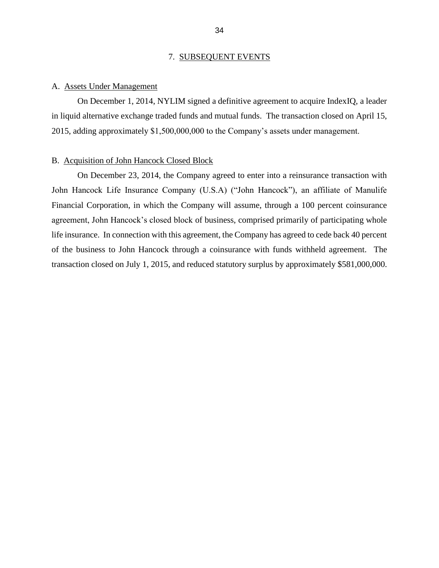#### 7. SUBSEQUENT EVENTS

#### <span id="page-36-0"></span>A. Assets Under Management

 On December 1, 2014, NYLIM signed a definitive agreement to acquire IndexIQ, a leader in liquid alternative exchange traded funds and mutual funds. The transaction closed on April 15, 2015, adding approximately \$1,500,000,000 to the Company's assets under management.

#### B. Acquisition of John Hancock Closed Block

 On December 23, 2014, the Company agreed to enter into a reinsurance transaction with John Hancock Life Insurance Company (U.S.A) ("John Hancock"), an affiliate of Manulife agreement, John Hancock's closed block of business, comprised primarily of participating whole life insurance. In connection with this agreement, the Company has agreed to cede back 40 percent of the business to John Hancock through a coinsurance with funds withheld agreement. The transaction closed on July 1, 2015, and reduced statutory surplus by approximately \$581,000,000. Financial Corporation, in which the Company will assume, through a 100 percent coinsurance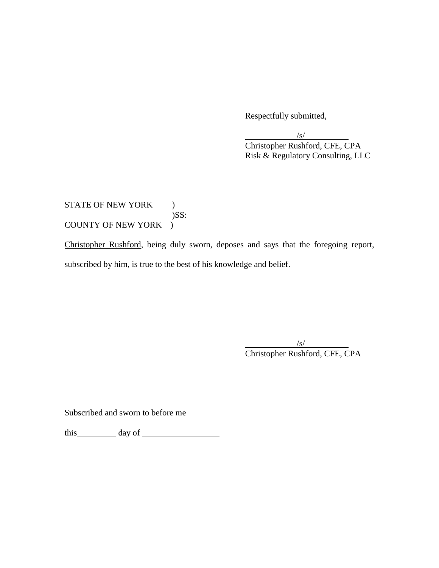Respectfully submitted,

 $\overline{a}$ 

/s/

Christopher Rushford, CFE, CPA Risk & Regulatory Consulting, LLC

COUNTY OF NEW YORK ) STATE OF NEW YORK ) )SS:

COUNTY OF NEW YORK )<br>Christopher Rushford, being duly sworn, deposes and says that the foregoing report, subscribed by him, is true to the best of his knowledge and belief.

> $\frac{1}{\sqrt{S}}$ Christopher Rushford, CFE, CPA

Subscribed and sworn to before me

this day of